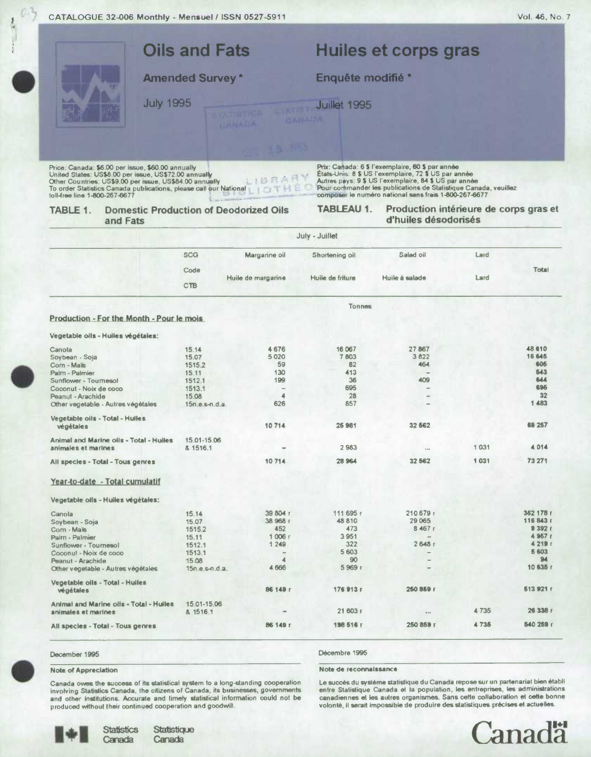| CATALOGUE 32-006 Monthly - Mensuel / ISSN 0527-5911                                                                                                                                                                                                                         |                         |                          |                        |                                                                                                                                                                                                                                                                                               |       | Vol. 46, No. 7   |  |  |
|-----------------------------------------------------------------------------------------------------------------------------------------------------------------------------------------------------------------------------------------------------------------------------|-------------------------|--------------------------|------------------------|-----------------------------------------------------------------------------------------------------------------------------------------------------------------------------------------------------------------------------------------------------------------------------------------------|-------|------------------|--|--|
| <b>Oils and Fats</b><br><b>Amended Survey *</b>                                                                                                                                                                                                                             |                         |                          |                        | Huiles et corps gras<br>Enquête modifié *                                                                                                                                                                                                                                                     |       |                  |  |  |
|                                                                                                                                                                                                                                                                             |                         |                          |                        |                                                                                                                                                                                                                                                                                               |       |                  |  |  |
| <b>July 1995</b>                                                                                                                                                                                                                                                            |                         | <b>CARLAILA</b>          | Juillet 1995<br>OAMADA |                                                                                                                                                                                                                                                                                               |       |                  |  |  |
| Price: Canada: \$6.00 per issue, \$60.00 annually<br>United States: US\$8.00 per issue, US\$72.00 annually<br>Other Countries: US\$9.00 per issue, US\$84.00 annually<br>To order Statistics Canada publications, please call our National<br>toll-free line 1-800-267-6677 |                         | IERAR<br>TH              |                        | Prix: Canada: 6 \$ l'exemplaire, 60 \$ par année<br>États-Unis: 8 \$ US l'exemplaire, 72 \$ US par année<br>Autres pays: 9 \$ US l'exemplaire, 84 \$ US par année<br>Pour commander les publications de Statistique Canada, veuillez<br>composer le numéro national sans frais 1-800-267-6677 |       |                  |  |  |
| TABLE 1.<br><b>Domestic Production of Deodorized Oils</b><br>and Fats                                                                                                                                                                                                       |                         |                          | <b>TABLEAU 1.</b>      | Production intérieure de corps gras et<br>d'huiles désodorisés                                                                                                                                                                                                                                |       |                  |  |  |
|                                                                                                                                                                                                                                                                             |                         |                          | July - Juillet         |                                                                                                                                                                                                                                                                                               |       |                  |  |  |
|                                                                                                                                                                                                                                                                             | <b>SCG</b>              | Margarine oil            | Shortening oil         | Salad oil                                                                                                                                                                                                                                                                                     | Lard  |                  |  |  |
|                                                                                                                                                                                                                                                                             | Code<br>CTB             | Huile de margarine       | Huile de friture       | Huile à salade                                                                                                                                                                                                                                                                                | Lard  | <b>Total</b>     |  |  |
|                                                                                                                                                                                                                                                                             |                         |                          | <b>Tonnes</b>          |                                                                                                                                                                                                                                                                                               |       |                  |  |  |
| Production - For the Month - Pour le mois                                                                                                                                                                                                                                   |                         |                          |                        |                                                                                                                                                                                                                                                                                               |       |                  |  |  |
| Vegetable oils - Huiles végétales:                                                                                                                                                                                                                                          |                         |                          |                        |                                                                                                                                                                                                                                                                                               |       |                  |  |  |
| Canola                                                                                                                                                                                                                                                                      | 15.14                   | 4676                     | 16 067                 | 27867                                                                                                                                                                                                                                                                                         |       | 48 610<br>16 645 |  |  |
| Soybean - Soja<br>Corn - Mais                                                                                                                                                                                                                                               | 15.07<br>1515.2         | 5 0 2 0<br>59            | 7803<br>82             | 3822<br>464                                                                                                                                                                                                                                                                                   |       | 605              |  |  |
| Palm - Palmier                                                                                                                                                                                                                                                              | 15.11                   | 130                      | 413                    |                                                                                                                                                                                                                                                                                               |       | 543              |  |  |
| Sunflower - Tournesol                                                                                                                                                                                                                                                       | 1512.1                  | 199                      | 36                     | 409                                                                                                                                                                                                                                                                                           |       | 644              |  |  |
| Coconut - Noix de coco                                                                                                                                                                                                                                                      | 1513.1                  | $\overline{\phantom{a}}$ | 695                    |                                                                                                                                                                                                                                                                                               |       | 695              |  |  |
| Peanut - Arachide                                                                                                                                                                                                                                                           | 15.08                   | $\blacktriangle$<br>626  | 28<br>857              |                                                                                                                                                                                                                                                                                               |       | 32<br>1 483      |  |  |
| Other vegetable - Autres végétales                                                                                                                                                                                                                                          | 15n.e.s-n.d.a.          |                          |                        |                                                                                                                                                                                                                                                                                               |       |                  |  |  |
| Vegetable oils - Total - Hulles<br>végétales                                                                                                                                                                                                                                |                         | 10714                    | 25 981                 | 32 562                                                                                                                                                                                                                                                                                        |       | 69 257           |  |  |
| <b>Animal and Marine oils - Total - Hulles</b><br>animales et marines                                                                                                                                                                                                       | 15.01-15.06<br>& 1516.1 |                          | 2983                   |                                                                                                                                                                                                                                                                                               | 1031  | 4014             |  |  |
| All species - Total - Tous genres                                                                                                                                                                                                                                           |                         | 10714                    | 28 964                 | 32 562                                                                                                                                                                                                                                                                                        | 1 031 | 73 271           |  |  |
| Year-to-date - Total cumulatif                                                                                                                                                                                                                                              |                         |                          |                        |                                                                                                                                                                                                                                                                                               |       |                  |  |  |
| Vegetable oils - Hulles végétales:                                                                                                                                                                                                                                          |                         |                          |                        |                                                                                                                                                                                                                                                                                               |       |                  |  |  |
| Conola                                                                                                                                                                                                                                                                      | <b>45.14</b>            | 39.804 c                 | 111 695 r              | 210.679r                                                                                                                                                                                                                                                                                      |       | 362 178 r        |  |  |

| Canola                                         | 15.14            | 39 804 r | 111 695 г | 210 679 r                |      | 362 178 r |
|------------------------------------------------|------------------|----------|-----------|--------------------------|------|-----------|
| Soybean - Soja                                 | 15.07            | 38 968 г | 48 810    | 29 0 65                  |      | 116 843 r |
| Com - Mais                                     | 1515.2           | 452      | 473       | 8467r                    |      | 9392r     |
| Palm - Palmier                                 | 15.11            | 1006r    | 3951      | $\overline{\phantom{a}}$ |      | 4 967 r   |
| Sunflower - Tournesol                          | 1512.1           | 1249     | 322       | 2648r                    |      | 4219r     |
| Coconut - Noix de coco                         | 1513.1           |          | 5 603     | $\overline{\phantom{a}}$ |      | 5 603     |
| Peanut - Arachide                              | 15.08            |          | 90        | $\qquad \qquad -$        |      | 94        |
| Other vegetable - Autres végétales             | $15n.e.s-n.d.a.$ | 4 6 6 6  | 5969 г    | $\qquad \qquad =$        |      | 10 635 г  |
| Vegetable oils - Total - Huiles                |                  |          |           |                          |      |           |
| végétales                                      |                  | 86 149 r | 176913r   | 250 859 г                |      | 513 921 r |
| <b>Animal and Marine oils - Total - Hulles</b> | 15.01-15.06      |          |           |                          |      |           |
| animales et marines                            | & 1516.1         | $\equiv$ | 21 603 r  | 0.0.91                   | 4735 | 26 338 r  |
| All species - Total - Tous genres              |                  | 86 149 г | 198 516 r | 250 859 г                | 4735 | 540 259 r |
|                                                |                  |          |           |                          |      |           |

## December 1995

Ú

## **Note of Appreciation**

Canada owes the success of its stallstical system to a long-standing cooperation<br>involving Statistics Canada, the citizens of Canada, its businesses, governments<br>and other institutions. Accurate and timely statistical info produced without their continued cooperation and goodwill.

Décembre 1995

Note de reconnaissance

Le succès du système statistique du Canada repose sur un partenariat bien établi entre Statistique Canada et la population, les entreprises, les administrations canadiennes et les autres organismes. Sans cette collaboration et cette bonne volonté, il serait impossible de produire des statistiques précises et actuelles.

**Canadä** 

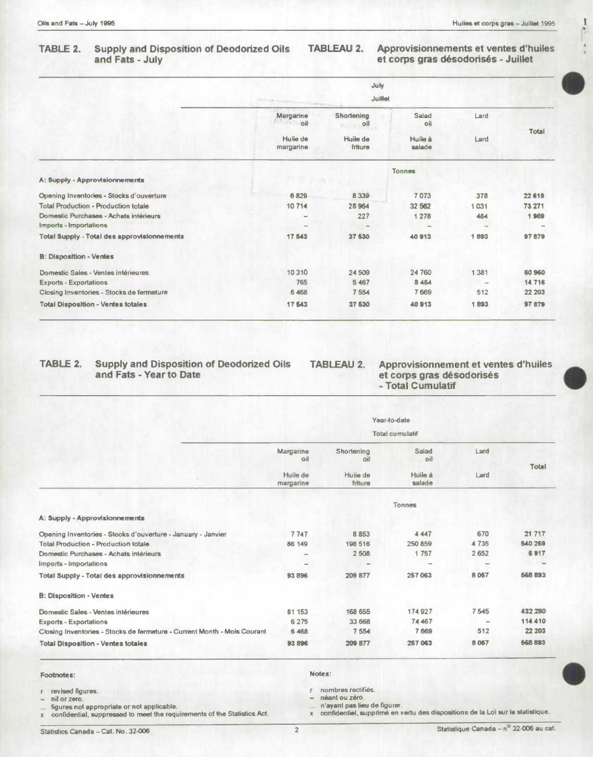**I'** 

 $\frac{4}{3}$ 

# **TABLE 2. Supply and Disposition of Deodorized Oils TABLEAU 2. Approvisionnements et ventes d'huiles**

## et corps gras désodorisés - Juillet

|                                                              | July<br>Juillet                                   |                   |          |              |
|--------------------------------------------------------------|---------------------------------------------------|-------------------|----------|--------------|
| Margarine<br>$\sim$ $\sim$ $\sim$                            | <b>Shortening</b><br>$\mathbf{A}$ of $\mathbf{A}$ | Salad<br>oil      | Lard     | <b>Total</b> |
| Huile de<br>margarine                                        | Huile de<br>friture                               | Huile à<br>salade | Lard     |              |
|                                                              |                                                   | Tonnes            |          |              |
| A: Supply - Approvisionnements                               |                                                   |                   |          |              |
| Opening Inventories - Stocks d'ouverture<br>6829             | 8 3 3 9                                           | 7073              | 378      | 22 619       |
| <b>Total Production - Production totale</b><br>10714         | 28 9 64                                           | 32 562            | 1031     | 73 271       |
| Domestic Purchases - Achats intérieurs                       | 227                                               | 1 2 7 8           | 484      | 1989         |
| Imports - Importations<br>-                                  | <b>Alle</b>                                       | -                 |          |              |
| <b>Total Supply - Total des approvisionnements</b><br>17 543 | 37 530                                            | 40913             | 1893     | 97879        |
| <b>B: Disposition - Ventes</b>                               |                                                   |                   |          |              |
| Domestic Sales - Ventes intérieures<br>10 310                | 24 509                                            | 24 760            | 1 3 8 1  | 60960        |
| 765<br><b>Exports - Exportations</b>                         | 5 4 6 7                                           | 8 4 8 4           | $\equiv$ | 14716        |
| 6 4 6 8<br>Closing Inventories - Stocks de fermeture         | 7554                                              | 7 6 6 9           | 512      | 22 203       |
| <b>Total Disposition - Ventes totales</b><br>17 543          | 37 530                                            | 40913             | 1893     | 97 879       |

## TABLE 2. Supply and Disposition of Deodorized Oils TABLEAU 2.<br>and Fats - Year to Date

et corps gras désodorisés<br>- Total Cumulatif **Approvisionnement et ventes d'huiles** 

|                                                                          | Year-to-date<br><b>Total cumulatif</b>    |                                          |                                   |              |              |  |
|--------------------------------------------------------------------------|-------------------------------------------|------------------------------------------|-----------------------------------|--------------|--------------|--|
|                                                                          | Margarine<br>oil<br>Huile de<br>margarine | Shortening<br>oil<br>Huile de<br>friture | Salad<br>oil<br>Huile à<br>salade | Lard<br>Lard | <b>Total</b> |  |
|                                                                          |                                           |                                          |                                   |              |              |  |
|                                                                          |                                           |                                          | <b>Tonnes</b>                     |              |              |  |
| A: Supply - Approvisionnements                                           |                                           |                                          |                                   |              |              |  |
| Opening Inventories - Stocks d'ouverture - January - Janvier             | 7747                                      | 8 8 5 3                                  | 4 4 4 7                           | 670          | 21 717       |  |
| <b>Total Production - Production totale</b>                              | 86 149                                    | 198 516                                  | 250 859                           | 4735         | 540 259      |  |
| Domestic Purchases - Achats intérieurs                                   |                                           | 2508                                     | 1757                              | 2652         | 6917         |  |
| Imports - Importations                                                   | $\overline{\phantom{a}}$                  |                                          |                                   |              |              |  |
| <b>Total Supply - Total des approvisionnements</b>                       | 93 896                                    | 209 877                                  | 257 063                           | 8 0 5 7      | 568 893      |  |
| <b>B: Disposition - Ventes</b>                                           |                                           |                                          |                                   |              |              |  |
| Domestic Sales - Ventes intérieures                                      | 81 153                                    | 168 655                                  | 174927                            | 7545         | 432 280      |  |
| <b>Exports - Exportations</b>                                            | 6 2 7 5                                   | 33 668                                   | 74 467                            |              | 114 410      |  |
| Closing Inventories - Stocks de fermeture - Current Month - Mois Courant | 6 4 6 8                                   | 7554                                     | 7 6 69                            | 512          | 22 203       |  |
| <b>Total Disposition - Ventes totales</b>                                | 93896                                     | 209 877                                  | 257 063                           | 8 0 67       | 568 893      |  |

#### **Footiotes: Notes:**

... figures not appropriate or not applicable.<br>**x** confidential, suppressed to meet the requirements of the Statistics Act.

**revised figures. r nombres rectifiès.** 

**- nil or zero. - néant ou zero.** 

**x confidential, suppressed to meet the requirements of the Statistics Act. x confidential, supprime on vetlu des dispositions do to Lol sur Is siatistique.**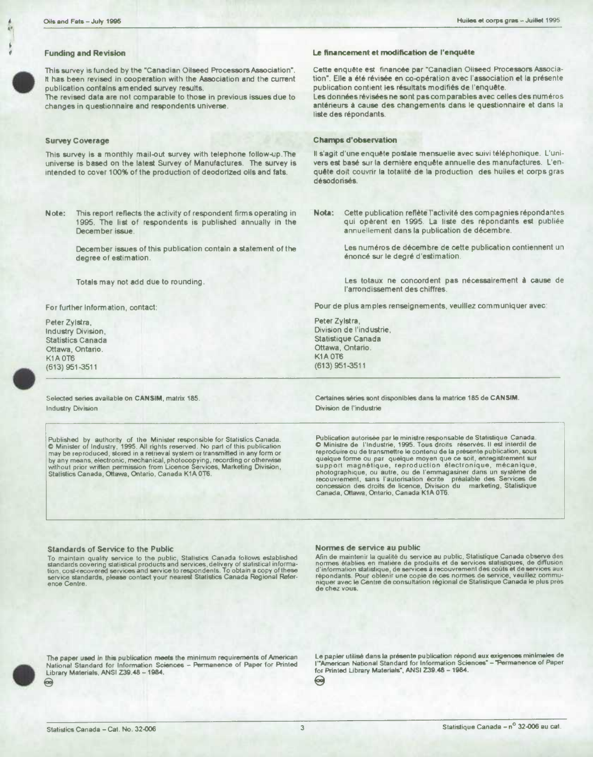## **Funding and Revision**

This survey is funded by the "Canadian Oilseed Processors Association". It has been revised In cooperation with the Association and the current publication contains amended survey results.

The revised data are not comparable to those in previous issues due to changes in questionnaire and respondents universe,

### **Survey Coverage**

**•**

This survey is a monthly mail-out survey with telephone follow-up. The universe is based on the latesi Survey of Manufactures. The survey is intended to cover 100% of the production of deodonzed oils and fats.

**Note:** This report reflects the activity of respondent firms operating in 1995. The list of respondents is published annually in the December *issue*.

> December issues of this publication contain a statement of the degree of eatimation.

Totals may not add due to rounding.

For further Information, contact:

Peter Zylstra, Industry Division, Statistics Canada Ottawa, Ontario. K<sub>1</sub>A OT<sub>6</sub> (613)951-3511

**r** L

Selected series available on CANSIM. matrix 185. Industry Division

Published by authority of the Minister responsible for Statistics Canada.<br>
C Minister of Industry, 1995. All rights reserved. No part of this publication and C Minister de l'Industrie, 1995. Tous droits réserved les that i

### Le financement et modification de l'enquête

Cette enquête est financée par "Canadian Oliseed Processors Association". Elle a été révisée en co-opération avec l'association et la présente publication contient les résultats modifiés de l'enquête.

Les données révisées ne sont pas **corn** parables avec celles des numéros antérieurs à cause des changements dans le questionnaire et dans la liste des répondants.

### **Champs d'observation**

Il s'agit d'une enquête postale mensuelle avec suivi téléphonique. L'univers est basé sur la dernière enquête annuelle des manufactures. L'enquête doit couvrir la totalité de la production des huiles et corps gras désodonsés.

Nota: Cette publication reflète l'activité des compagnies répondantes qui opèrent en 1995. La liste des répondants est publiée annuellement dans Ia publication de décembre.

> Los numéros de décembre de cette publication contiennent un énoncé sur le degré d'estimation.

> Les totaux ne concordent pas nécessairement à cause de l'arrondissement des chiffres.

Pour de plus amples renseignements, veuillez communiquer avec:

Peter Zylstra, Division de l'induatrie, Statistique Canada Ottawa, Ontario. **K1A 0T6** (613) 951 -3511

Certaines séries sont disponibles dans la matrice 185 de CANSIM. Division do I'industrie

recouvrement, sans l'autorisation écrite <sup>-</sup> préalable des Services de<br>concession des droits de licence, Division du - marketing, Stalistique<br>Canada, Ottawa, Ontario, Canada K1A 0T6.

#### **Standards of Service to the Public**

To maintain quality service to the public, Stallstics Canada follows established<br>standards covering statistical products and services, delivery of statistical informa-<br>tion, cost-recovered services and service to responden

#### **Normes de service** au public

Afin de maintenir la qualité du service au public, Statistique Canada observe des<br>normes établies en matière de produits et de services statistiques, de diffusion<br>d'information statistique, de services à recouvrement des c



The paper used in this publication meets the minimum requirements of American Le papier utilisé dans la présente publication répond aux exigences minimales de<br>National Standard for Information Sciences – Permanence of Pape National Standard for Information Sciences - Permanence of Paper for Printed<br>Library Materials, ANSI Z39.48 - 1984.

Library Materials, ANSI Z39.48 -1984. for Printed Library Materials", ANSI Z39.48 -1984. ⊜